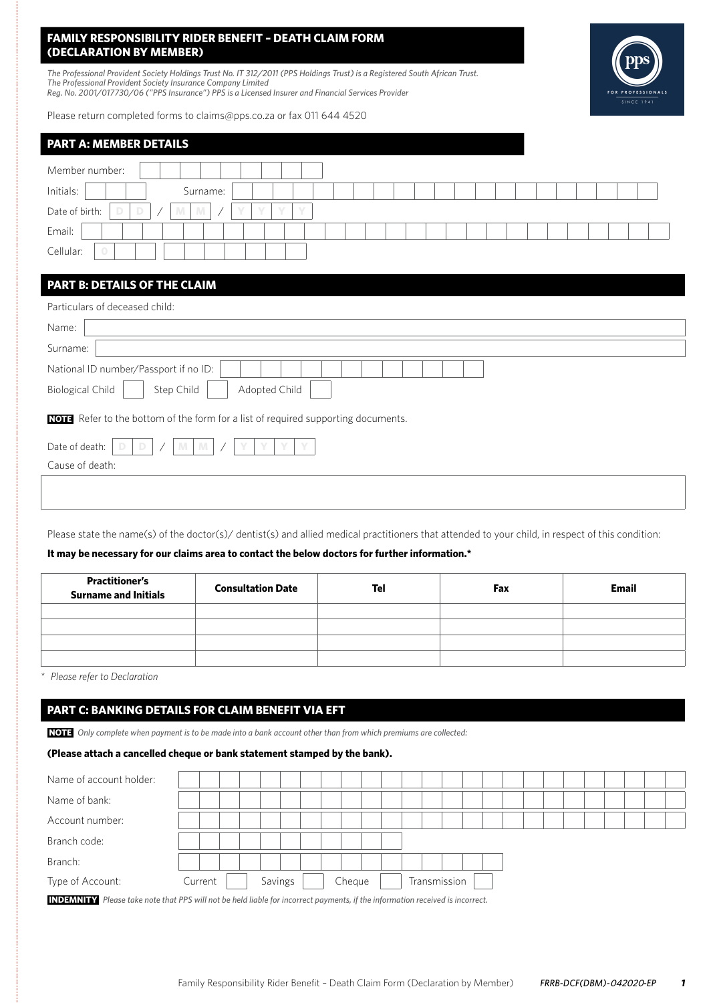# **FAMILY RESPONSIBILITY RIDER BENEFIT – DEATH CLAIM FORM (DECLARATION BY MEMBER)**

*The Professional Provident Society Holdings Trust No. IT 312/2011 (PPS Holdings Trust) is a Registered South African Trust. The Professional Provident Society Insurance Company Limited Reg. No. 2001/017730/06 ("PPS Insurance") PPS is a Licensed Insurer and Financial Services Provider*

Please return completed forms to claims@pps.co.za or fax 011 644 4520



| <b>PART A: MEMBER DETAILS</b>                                                     |
|-----------------------------------------------------------------------------------|
| Member number:                                                                    |
| Initials:<br>Surname:                                                             |
| Date of birth:<br>$\sqrt{}$<br>D<br>M<br>D<br>M                                   |
| Email:                                                                            |
| Cellular:                                                                         |
|                                                                                   |
| PART B: DETAILS OF THE CLAIM                                                      |
| Particulars of deceased child:                                                    |
| Name:                                                                             |
| Surname:                                                                          |
| National ID number/Passport if no ID:                                             |
| Adopted Child<br><b>Biological Child</b><br>Step Child                            |
| NOTE Refer to the bottom of the form for a list of required supporting documents. |
| Date of death:<br>Y<br>D<br>M.<br>M                                               |
| Cause of death:                                                                   |
|                                                                                   |

Please state the name(s) of the doctor(s)/ dentist(s) and allied medical practitioners that attended to your child, in respect of this condition:

## **It may be necessary for our claims area to contact the below doctors for further information.\***

| <b>Practitioner's</b><br><b>Surname and Initials</b> | <b>Consultation Date</b> | Tel | Fax | <b>Email</b> |
|------------------------------------------------------|--------------------------|-----|-----|--------------|
|                                                      |                          |     |     |              |
|                                                      |                          |     |     |              |
|                                                      |                          |     |     |              |
|                                                      |                          |     |     |              |

*\* Please refer to Declaration*

# **PART C: BANKING DETAILS FOR CLAIM BENEFIT VIA EFT**

**NOTE** *Only complete when payment is to be made into a bank account other than from which premiums are collected:*

#### **(Please attach a cancelled cheque or bank statement stamped by the bank).**

| Name of account holder:                                                                                                                                                                                                              |         |  |         |  |        |  |  |              |  |  |  |  |  |  |
|--------------------------------------------------------------------------------------------------------------------------------------------------------------------------------------------------------------------------------------|---------|--|---------|--|--------|--|--|--------------|--|--|--|--|--|--|
| Name of bank:                                                                                                                                                                                                                        |         |  |         |  |        |  |  |              |  |  |  |  |  |  |
| Account number:                                                                                                                                                                                                                      |         |  |         |  |        |  |  |              |  |  |  |  |  |  |
| Branch code:                                                                                                                                                                                                                         |         |  |         |  |        |  |  |              |  |  |  |  |  |  |
| Branch:                                                                                                                                                                                                                              |         |  |         |  |        |  |  |              |  |  |  |  |  |  |
| Type of Account:                                                                                                                                                                                                                     | Current |  | Savings |  | Cheque |  |  | Transmission |  |  |  |  |  |  |
| <u>not the second term in the second second in the second second in the second second in the second second second in the second second second second second second second second second second second second second second secon</u> |         |  |         |  |        |  |  |              |  |  |  |  |  |  |

**INDEMNITY** *Please take note that PPS will not be held liable for incorrect payments, if the information received is incorrect.*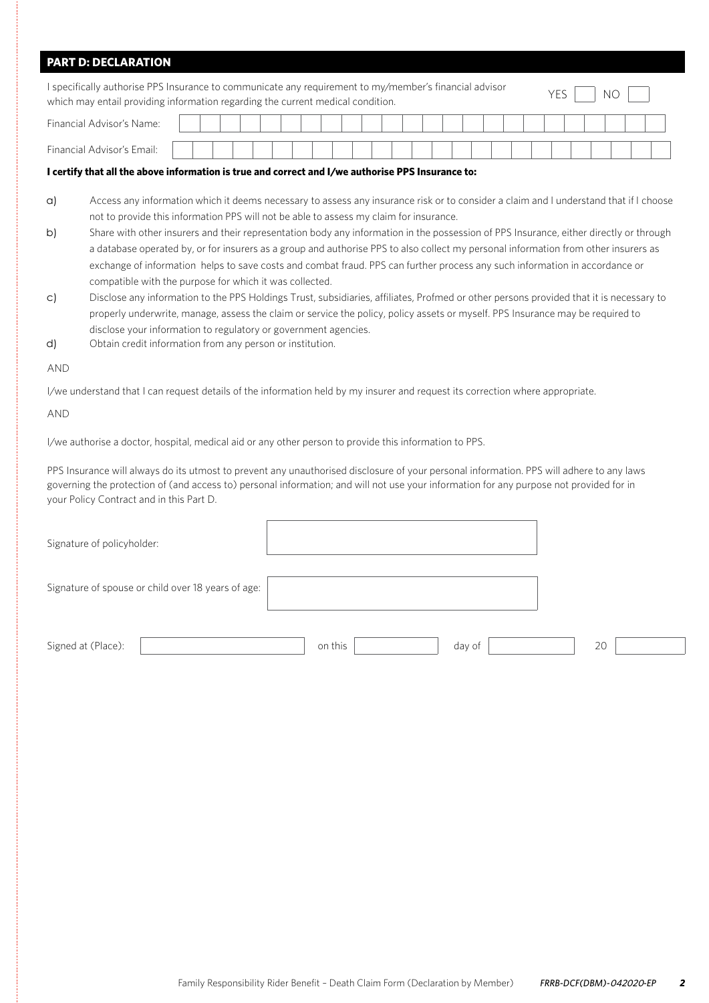| <b>PART D: DECLARATION</b>                         |                                                                                                                                                                                                                                                                                                                                                                                                                                                                                                                                                                                                                                                                                                            |
|----------------------------------------------------|------------------------------------------------------------------------------------------------------------------------------------------------------------------------------------------------------------------------------------------------------------------------------------------------------------------------------------------------------------------------------------------------------------------------------------------------------------------------------------------------------------------------------------------------------------------------------------------------------------------------------------------------------------------------------------------------------------|
|                                                    | I specifically authorise PPS Insurance to communicate any requirement to my/member's financial advisor<br><b>YES</b><br>NO<br>which may entail providing information regarding the current medical condition.                                                                                                                                                                                                                                                                                                                                                                                                                                                                                              |
| Financial Advisor's Name:                          |                                                                                                                                                                                                                                                                                                                                                                                                                                                                                                                                                                                                                                                                                                            |
| Financial Advisor's Email:                         |                                                                                                                                                                                                                                                                                                                                                                                                                                                                                                                                                                                                                                                                                                            |
|                                                    | I certify that all the above information is true and correct and I/we authorise PPS Insurance to:                                                                                                                                                                                                                                                                                                                                                                                                                                                                                                                                                                                                          |
| $\alpha$<br>b)                                     | Access any information which it deems necessary to assess any insurance risk or to consider a claim and I understand that if I choose<br>not to provide this information PPS will not be able to assess my claim for insurance.<br>Share with other insurers and their representation body any information in the possession of PPS Insurance, either directly or through<br>a database operated by, or for insurers as a group and authorise PPS to also collect my personal information from other insurers as<br>exchange of information helps to save costs and combat fraud. PPS can further process any such information in accordance or<br>compatible with the purpose for which it was collected. |
| $\mathsf{C}$<br>d)                                 | Disclose any information to the PPS Holdings Trust, subsidiaries, affiliates, Profmed or other persons provided that it is necessary to<br>properly underwrite, manage, assess the claim or service the policy, policy assets or myself. PPS Insurance may be required to<br>disclose your information to regulatory or government agencies.<br>Obtain credit information from any person or institution.                                                                                                                                                                                                                                                                                                  |
| <b>AND</b>                                         |                                                                                                                                                                                                                                                                                                                                                                                                                                                                                                                                                                                                                                                                                                            |
|                                                    | l/we understand that I can request details of the information held by my insurer and request its correction where appropriate.                                                                                                                                                                                                                                                                                                                                                                                                                                                                                                                                                                             |
| <b>AND</b>                                         |                                                                                                                                                                                                                                                                                                                                                                                                                                                                                                                                                                                                                                                                                                            |
|                                                    | l/we authorise a doctor, hospital, medical aid or any other person to provide this information to PPS.                                                                                                                                                                                                                                                                                                                                                                                                                                                                                                                                                                                                     |
| your Policy Contract and in this Part D.           | PPS Insurance will always do its utmost to prevent any unauthorised disclosure of your personal information. PPS will adhere to any laws<br>governing the protection of (and access to) personal information; and will not use your information for any purpose not provided for in                                                                                                                                                                                                                                                                                                                                                                                                                        |
| Signature of policyholder:                         |                                                                                                                                                                                                                                                                                                                                                                                                                                                                                                                                                                                                                                                                                                            |
| Signature of spouse or child over 18 years of age: |                                                                                                                                                                                                                                                                                                                                                                                                                                                                                                                                                                                                                                                                                                            |
| Signed at (Place):                                 | 20<br>on this<br>day of                                                                                                                                                                                                                                                                                                                                                                                                                                                                                                                                                                                                                                                                                    |